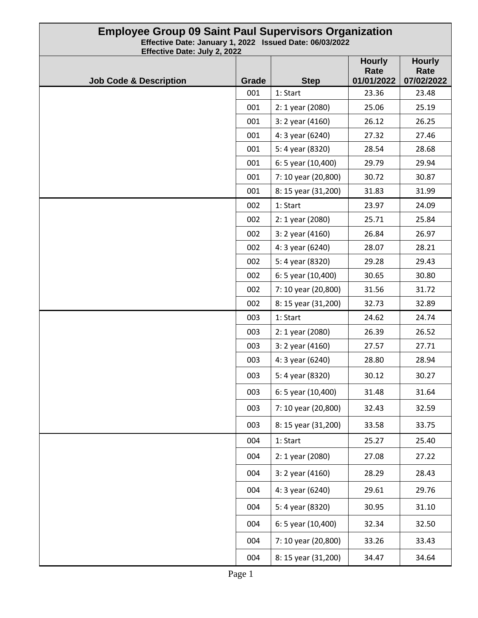| <b>Employee Group 09 Saint Paul Supervisors Organization</b><br>Effective Date: January 1, 2022 Issued Date: 06/03/2022<br>Effective Date: July 2, 2022 |              |                     |                                     |                                     |
|---------------------------------------------------------------------------------------------------------------------------------------------------------|--------------|---------------------|-------------------------------------|-------------------------------------|
| <b>Job Code &amp; Description</b>                                                                                                                       | <b>Grade</b> | <b>Step</b>         | <b>Hourly</b><br>Rate<br>01/01/2022 | <b>Hourly</b><br>Rate<br>07/02/2022 |
|                                                                                                                                                         | 001          | 1: Start            | 23.36                               | 23.48                               |
|                                                                                                                                                         | 001          | 2: 1 year (2080)    | 25.06                               | 25.19                               |
|                                                                                                                                                         | 001          | 3: 2 year (4160)    | 26.12                               | 26.25                               |
|                                                                                                                                                         | 001          | 4: 3 year (6240)    | 27.32                               | 27.46                               |
|                                                                                                                                                         | 001          | 5: 4 year (8320)    | 28.54                               | 28.68                               |
|                                                                                                                                                         | 001          | 6: 5 year (10,400)  | 29.79                               | 29.94                               |
|                                                                                                                                                         | 001          | 7: 10 year (20,800) | 30.72                               | 30.87                               |
|                                                                                                                                                         | 001          | 8: 15 year (31,200) | 31.83                               | 31.99                               |
|                                                                                                                                                         | 002          | 1: Start            | 23.97                               | 24.09                               |
|                                                                                                                                                         | 002          | 2: 1 year (2080)    | 25.71                               | 25.84                               |
|                                                                                                                                                         | 002          | 3: 2 year (4160)    | 26.84                               | 26.97                               |
|                                                                                                                                                         | 002          | 4: 3 year (6240)    | 28.07                               | 28.21                               |
|                                                                                                                                                         | 002          | 5: 4 year (8320)    | 29.28                               | 29.43                               |
|                                                                                                                                                         | 002          | 6: 5 year (10,400)  | 30.65                               | 30.80                               |
|                                                                                                                                                         | 002          | 7: 10 year (20,800) | 31.56                               | 31.72                               |
|                                                                                                                                                         | 002          | 8: 15 year (31,200) | 32.73                               | 32.89                               |
|                                                                                                                                                         | 003          | 1: Start            | 24.62                               | 24.74                               |
|                                                                                                                                                         | 003          | 2: 1 year (2080)    | 26.39                               | 26.52                               |
|                                                                                                                                                         | 003          | 3: 2 year (4160)    | 27.57                               | 27.71                               |
|                                                                                                                                                         | 003          | 4: 3 year (6240)    | 28.80                               | 28.94                               |
|                                                                                                                                                         | 003          | 5: 4 year (8320)    | 30.12                               | 30.27                               |
|                                                                                                                                                         | 003          | 6: 5 year (10,400)  | 31.48                               | 31.64                               |
|                                                                                                                                                         | 003          | 7: 10 year (20,800) | 32.43                               | 32.59                               |
|                                                                                                                                                         | 003          | 8: 15 year (31,200) | 33.58                               | 33.75                               |
|                                                                                                                                                         | 004          | 1: Start            | 25.27                               | 25.40                               |
|                                                                                                                                                         | 004          | 2: 1 year (2080)    | 27.08                               | 27.22                               |
|                                                                                                                                                         | 004          | 3: 2 year (4160)    | 28.29                               | 28.43                               |
|                                                                                                                                                         | 004          | 4: 3 year (6240)    | 29.61                               | 29.76                               |
|                                                                                                                                                         | 004          | 5: 4 year (8320)    | 30.95                               | 31.10                               |
|                                                                                                                                                         | 004          | 6: 5 year (10,400)  | 32.34                               | 32.50                               |
|                                                                                                                                                         | 004          | 7: 10 year (20,800) | 33.26                               | 33.43                               |
|                                                                                                                                                         | 004          | 8: 15 year (31,200) | 34.47                               | 34.64                               |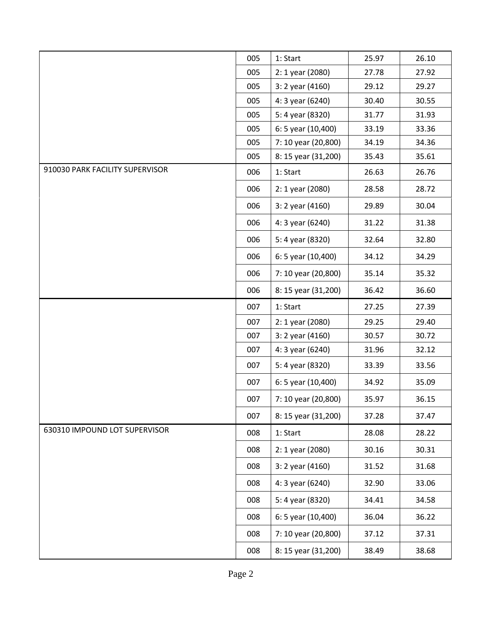|                                 | 005 | 1: Start            | 25.97 | 26.10 |
|---------------------------------|-----|---------------------|-------|-------|
|                                 | 005 | 2: 1 year (2080)    | 27.78 | 27.92 |
|                                 | 005 | 3: 2 year (4160)    | 29.12 | 29.27 |
|                                 | 005 | 4: 3 year (6240)    | 30.40 | 30.55 |
|                                 | 005 | 5: 4 year (8320)    | 31.77 | 31.93 |
|                                 | 005 | 6: 5 year (10,400)  | 33.19 | 33.36 |
|                                 | 005 | 7: 10 year (20,800) | 34.19 | 34.36 |
|                                 | 005 | 8: 15 year (31,200) | 35.43 | 35.61 |
| 910030 PARK FACILITY SUPERVISOR | 006 | 1: Start            | 26.63 | 26.76 |
|                                 | 006 | 2: 1 year (2080)    | 28.58 | 28.72 |
|                                 | 006 | 3: 2 year (4160)    | 29.89 | 30.04 |
|                                 | 006 | 4: 3 year (6240)    | 31.22 | 31.38 |
|                                 | 006 | 5: 4 year (8320)    | 32.64 | 32.80 |
|                                 | 006 | 6: 5 year (10,400)  | 34.12 | 34.29 |
|                                 | 006 | 7: 10 year (20,800) | 35.14 | 35.32 |
|                                 | 006 | 8: 15 year (31,200) | 36.42 | 36.60 |
|                                 | 007 | 1: Start            | 27.25 | 27.39 |
|                                 | 007 | 2: 1 year (2080)    | 29.25 | 29.40 |
|                                 | 007 | 3: 2 year (4160)    | 30.57 | 30.72 |
|                                 | 007 | 4: 3 year (6240)    | 31.96 | 32.12 |
|                                 | 007 | 5: 4 year (8320)    | 33.39 | 33.56 |
|                                 | 007 | 6: 5 year (10,400)  | 34.92 | 35.09 |
|                                 | 007 | 7: 10 year (20,800) | 35.97 | 36.15 |
|                                 | 007 | 8: 15 year (31,200) | 37.28 | 37.47 |
| 630310 IMPOUND LOT SUPERVISOR   | 008 | 1: Start            | 28.08 | 28.22 |
|                                 | 008 | 2: 1 year (2080)    | 30.16 | 30.31 |
|                                 | 008 | 3: 2 year (4160)    | 31.52 | 31.68 |
|                                 | 008 | 4: 3 year (6240)    | 32.90 | 33.06 |
|                                 | 008 | 5: 4 year (8320)    | 34.41 | 34.58 |
|                                 | 008 | 6: 5 year (10,400)  | 36.04 | 36.22 |
|                                 | 008 | 7: 10 year (20,800) | 37.12 | 37.31 |
|                                 | 008 | 8: 15 year (31,200) | 38.49 | 38.68 |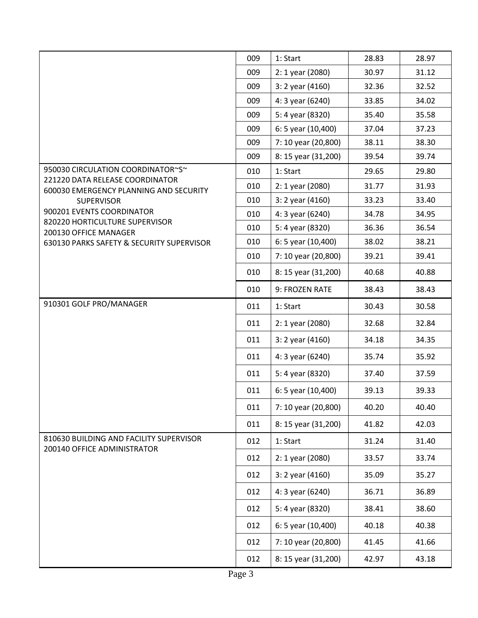|                                                                        | 009 | 1: Start            | 28.83 | 28.97 |
|------------------------------------------------------------------------|-----|---------------------|-------|-------|
|                                                                        | 009 | 2: 1 year (2080)    | 30.97 | 31.12 |
|                                                                        | 009 | 3: 2 year (4160)    | 32.36 | 32.52 |
|                                                                        | 009 | 4: 3 year (6240)    | 33.85 | 34.02 |
|                                                                        | 009 | 5: 4 year (8320)    | 35.40 | 35.58 |
|                                                                        | 009 | 6: 5 year (10,400)  | 37.04 | 37.23 |
|                                                                        | 009 | 7: 10 year (20,800) | 38.11 | 38.30 |
|                                                                        | 009 | 8: 15 year (31,200) | 39.54 | 39.74 |
| 950030 CIRCULATION COORDINATOR~S~<br>221220 DATA RELEASE COORDINATOR   | 010 | 1: Start            | 29.65 | 29.80 |
| 600030 EMERGENCY PLANNING AND SECURITY                                 | 010 | 2: 1 year (2080)    | 31.77 | 31.93 |
| <b>SUPERVISOR</b>                                                      | 010 | 3: 2 year (4160)    | 33.23 | 33.40 |
| 900201 EVENTS COORDINATOR<br>820220 HORTICULTURE SUPERVISOR            | 010 | 4: 3 year (6240)    | 34.78 | 34.95 |
| 200130 OFFICE MANAGER                                                  | 010 | 5: 4 year (8320)    | 36.36 | 36.54 |
| 630130 PARKS SAFETY & SECURITY SUPERVISOR                              | 010 | 6: 5 year (10,400)  | 38.02 | 38.21 |
|                                                                        | 010 | 7: 10 year (20,800) | 39.21 | 39.41 |
|                                                                        | 010 | 8: 15 year (31,200) | 40.68 | 40.88 |
|                                                                        | 010 | 9: FROZEN RATE      | 38.43 | 38.43 |
| 910301 GOLF PRO/MANAGER                                                | 011 | 1: Start            | 30.43 | 30.58 |
|                                                                        | 011 | 2: 1 year (2080)    | 32.68 | 32.84 |
|                                                                        | 011 | 3: 2 year (4160)    | 34.18 | 34.35 |
|                                                                        | 011 | 4: 3 year (6240)    | 35.74 | 35.92 |
|                                                                        | 011 | 5: 4 year (8320)    | 37.40 | 37.59 |
|                                                                        | 011 | 6: 5 year (10,400)  | 39.13 | 39.33 |
|                                                                        | 011 | 7: 10 year (20,800) | 40.20 | 40.40 |
|                                                                        | 011 | 8: 15 year (31,200) | 41.82 | 42.03 |
| 810630 BUILDING AND FACILITY SUPERVISOR<br>200140 OFFICE ADMINISTRATOR | 012 | 1: Start            | 31.24 | 31.40 |
|                                                                        | 012 | 2: 1 year (2080)    | 33.57 | 33.74 |
|                                                                        | 012 | 3: 2 year (4160)    | 35.09 | 35.27 |
|                                                                        | 012 | 4: 3 year (6240)    | 36.71 | 36.89 |
|                                                                        | 012 | 5: 4 year (8320)    | 38.41 | 38.60 |
|                                                                        | 012 | 6: 5 year (10,400)  | 40.18 | 40.38 |
|                                                                        | 012 | 7: 10 year (20,800) | 41.45 | 41.66 |
|                                                                        | 012 | 8: 15 year (31,200) | 42.97 | 43.18 |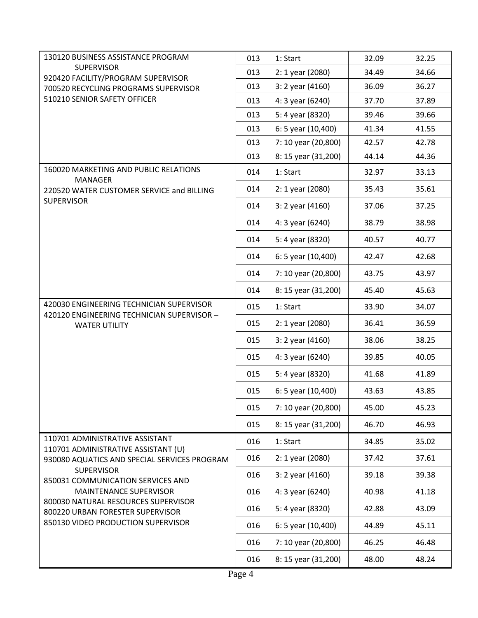| 130120 BUSINESS ASSISTANCE PROGRAM                                                     | 013 | 1: Start            | 32.09 | 32.25 |
|----------------------------------------------------------------------------------------|-----|---------------------|-------|-------|
| <b>SUPERVISOR</b><br>920420 FACILITY/PROGRAM SUPERVISOR                                | 013 | 2: 1 year (2080)    | 34.49 | 34.66 |
| 700520 RECYCLING PROGRAMS SUPERVISOR                                                   | 013 | 3: 2 year (4160)    | 36.09 | 36.27 |
| 510210 SENIOR SAFETY OFFICER                                                           | 013 | 4: 3 year (6240)    | 37.70 | 37.89 |
|                                                                                        | 013 | 5: 4 year (8320)    | 39.46 | 39.66 |
|                                                                                        | 013 | 6: 5 year (10,400)  | 41.34 | 41.55 |
|                                                                                        | 013 | 7: 10 year (20,800) | 42.57 | 42.78 |
|                                                                                        | 013 | 8: 15 year (31,200) | 44.14 | 44.36 |
| 160020 MARKETING AND PUBLIC RELATIONS<br><b>MANAGER</b>                                | 014 | 1: Start            | 32.97 | 33.13 |
| 220520 WATER CUSTOMER SERVICE and BILLING                                              | 014 | 2: 1 year (2080)    | 35.43 | 35.61 |
| <b>SUPERVISOR</b>                                                                      | 014 | 3: 2 year (4160)    | 37.06 | 37.25 |
|                                                                                        | 014 | 4: 3 year (6240)    | 38.79 | 38.98 |
|                                                                                        | 014 | 5: 4 year (8320)    | 40.57 | 40.77 |
|                                                                                        | 014 | 6: 5 year (10,400)  | 42.47 | 42.68 |
|                                                                                        | 014 | 7: 10 year (20,800) | 43.75 | 43.97 |
|                                                                                        | 014 | 8: 15 year (31,200) | 45.40 | 45.63 |
| 420030 ENGINEERING TECHNICIAN SUPERVISOR<br>420120 ENGINEERING TECHNICIAN SUPERVISOR - | 015 | 1: Start            | 33.90 | 34.07 |
| <b>WATER UTILITY</b>                                                                   | 015 | 2: 1 year (2080)    | 36.41 | 36.59 |
|                                                                                        | 015 | 3: 2 year (4160)    | 38.06 | 38.25 |
|                                                                                        | 015 | 4: 3 year (6240)    | 39.85 | 40.05 |
|                                                                                        | 015 | 5: 4 year (8320)    | 41.68 | 41.89 |
|                                                                                        | 015 | 6: 5 year (10,400)  | 43.63 | 43.85 |
|                                                                                        | 015 | 7: 10 year (20,800) | 45.00 | 45.23 |
|                                                                                        | 015 | 8: 15 year (31,200) | 46.70 | 46.93 |
| 110701 ADMINISTRATIVE ASSISTANT<br>110701 ADMINISTRATIVE ASSISTANT (U)                 | 016 | 1: Start            | 34.85 | 35.02 |
| 930080 AQUATICS AND SPECIAL SERVICES PROGRAM                                           | 016 | 2: 1 year (2080)    | 37.42 | 37.61 |
| <b>SUPERVISOR</b><br>850031 COMMUNICATION SERVICES AND                                 | 016 | 3: 2 year (4160)    | 39.18 | 39.38 |
| <b>MAINTENANCE SUPERVISOR</b>                                                          | 016 | 4: 3 year (6240)    | 40.98 | 41.18 |
| 800030 NATURAL RESOURCES SUPERVISOR<br>800220 URBAN FORESTER SUPERVISOR                | 016 | 5: 4 year (8320)    | 42.88 | 43.09 |
| 850130 VIDEO PRODUCTION SUPERVISOR                                                     | 016 | 6: 5 year (10,400)  | 44.89 | 45.11 |
|                                                                                        | 016 | 7: 10 year (20,800) | 46.25 | 46.48 |
|                                                                                        | 016 | 8: 15 year (31,200) | 48.00 | 48.24 |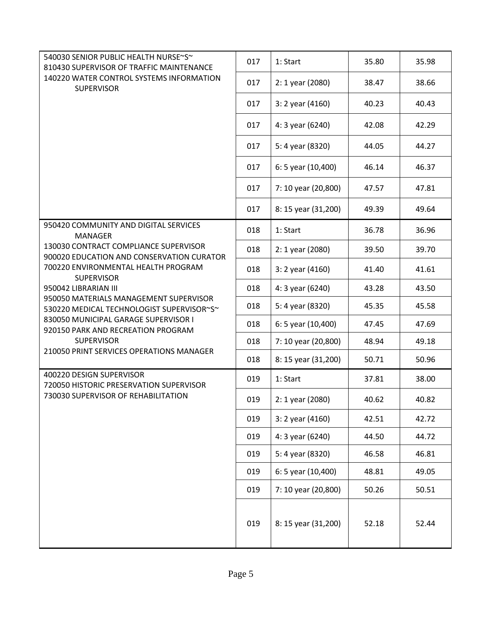| 540030 SENIOR PUBLIC HEALTH NURSE~S~<br>810430 SUPERVISOR OF TRAFFIC MAINTENANCE    | 017 | 1: Start            | 35.80 | 35.98 |
|-------------------------------------------------------------------------------------|-----|---------------------|-------|-------|
| 140220 WATER CONTROL SYSTEMS INFORMATION<br><b>SUPERVISOR</b>                       | 017 | 2: 1 year (2080)    | 38.47 | 38.66 |
|                                                                                     | 017 | 3: 2 year (4160)    | 40.23 | 40.43 |
|                                                                                     | 017 | 4: 3 year (6240)    | 42.08 | 42.29 |
|                                                                                     | 017 | 5: 4 year (8320)    | 44.05 | 44.27 |
|                                                                                     | 017 | 6: 5 year (10,400)  | 46.14 | 46.37 |
|                                                                                     | 017 | 7: 10 year (20,800) | 47.57 | 47.81 |
|                                                                                     | 017 | 8: 15 year (31,200) | 49.39 | 49.64 |
| 950420 COMMUNITY AND DIGITAL SERVICES<br><b>MANAGER</b>                             | 018 | 1: Start            | 36.78 | 36.96 |
| 130030 CONTRACT COMPLIANCE SUPERVISOR<br>900020 EDUCATION AND CONSERVATION CURATOR  | 018 | 2: 1 year (2080)    | 39.50 | 39.70 |
| 700220 ENVIRONMENTAL HEALTH PROGRAM<br><b>SUPERVISOR</b>                            | 018 | 3: 2 year (4160)    | 41.40 | 41.61 |
| 950042 LIBRARIAN III                                                                | 018 | 4: 3 year (6240)    | 43.28 | 43.50 |
| 950050 MATERIALS MANAGEMENT SUPERVISOR<br>530220 MEDICAL TECHNOLOGIST SUPERVISOR~S~ | 018 | 5: 4 year (8320)    | 45.35 | 45.58 |
| 830050 MUNICIPAL GARAGE SUPERVISOR I<br>920150 PARK AND RECREATION PROGRAM          | 018 | 6: 5 year (10,400)  | 47.45 | 47.69 |
| <b>SUPERVISOR</b>                                                                   | 018 | 7: 10 year (20,800) | 48.94 | 49.18 |
| 210050 PRINT SERVICES OPERATIONS MANAGER                                            | 018 | 8: 15 year (31,200) | 50.71 | 50.96 |
| 400220 DESIGN SUPERVISOR<br>720050 HISTORIC PRESERVATION SUPERVISOR                 | 019 | 1: Start            | 37.81 | 38.00 |
| 730030 SUPERVISOR OF REHABILITATION                                                 | 019 | 2: 1 year (2080)    | 40.62 | 40.82 |
|                                                                                     | 019 | 3: 2 year (4160)    | 42.51 | 42.72 |
|                                                                                     | 019 | 4: 3 year (6240)    | 44.50 | 44.72 |
|                                                                                     | 019 | 5: 4 year (8320)    | 46.58 | 46.81 |
|                                                                                     | 019 | 6: 5 year (10,400)  | 48.81 | 49.05 |
|                                                                                     | 019 | 7: 10 year (20,800) | 50.26 | 50.51 |
|                                                                                     | 019 | 8: 15 year (31,200) | 52.18 | 52.44 |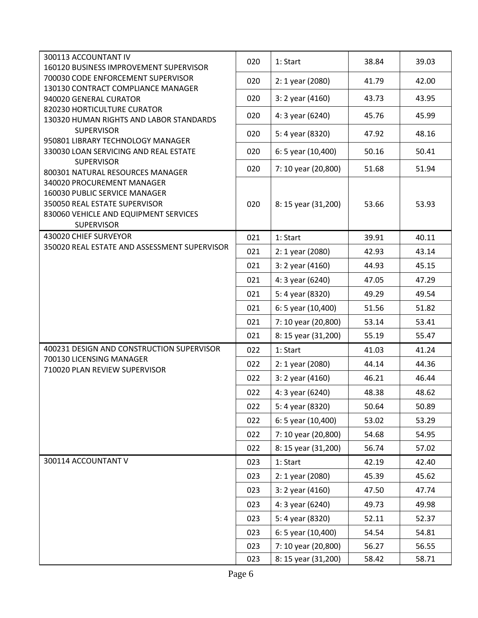| 300113 ACCOUNTANT IV                                                   |     |                     |       |       |
|------------------------------------------------------------------------|-----|---------------------|-------|-------|
| 160120 BUSINESS IMPROVEMENT SUPERVISOR                                 | 020 | 1: Start            | 38.84 | 39.03 |
| 700030 CODE ENFORCEMENT SUPERVISOR                                     | 020 | 2: 1 year (2080)    | 41.79 | 42.00 |
| 130130 CONTRACT COMPLIANCE MANAGER                                     |     |                     |       |       |
| 940020 GENERAL CURATOR                                                 | 020 | 3: 2 year (4160)    | 43.73 | 43.95 |
| 820230 HORTICULTURE CURATOR<br>130320 HUMAN RIGHTS AND LABOR STANDARDS | 020 | 4: 3 year (6240)    | 45.76 | 45.99 |
| <b>SUPERVISOR</b>                                                      | 020 | 5: 4 year (8320)    | 47.92 | 48.16 |
| 950801 LIBRARY TECHNOLOGY MANAGER                                      |     |                     |       |       |
| 330030 LOAN SERVICING AND REAL ESTATE<br><b>SUPERVISOR</b>             | 020 | 6: 5 year (10,400)  | 50.16 | 50.41 |
| 800301 NATURAL RESOURCES MANAGER                                       | 020 | 7: 10 year (20,800) | 51.68 | 51.94 |
| 340020 PROCUREMENT MANAGER                                             |     |                     |       |       |
| 160030 PUBLIC SERVICE MANAGER                                          |     |                     |       |       |
| 350050 REAL ESTATE SUPERVISOR                                          | 020 | 8: 15 year (31,200) | 53.66 | 53.93 |
| 830060 VEHICLE AND EQUIPMENT SERVICES                                  |     |                     |       |       |
| <b>SUPERVISOR</b>                                                      |     |                     |       |       |
| 430020 CHIEF SURVEYOR                                                  | 021 | 1: Start            | 39.91 | 40.11 |
| 350020 REAL ESTATE AND ASSESSMENT SUPERVISOR                           | 021 | 2: 1 year (2080)    | 42.93 | 43.14 |
|                                                                        | 021 | 3: 2 year (4160)    | 44.93 | 45.15 |
|                                                                        | 021 | 4: 3 year (6240)    | 47.05 | 47.29 |
|                                                                        | 021 | 5: 4 year (8320)    | 49.29 | 49.54 |
|                                                                        | 021 | 6: 5 year (10,400)  | 51.56 | 51.82 |
|                                                                        | 021 | 7: 10 year (20,800) | 53.14 | 53.41 |
|                                                                        | 021 | 8: 15 year (31,200) | 55.19 | 55.47 |
| 400231 DESIGN AND CONSTRUCTION SUPERVISOR                              | 022 | 1: Start            | 41.03 | 41.24 |
| 700130 LICENSING MANAGER<br>710020 PLAN REVIEW SUPERVISOR              | 022 | 2: 1 year (2080)    | 44.14 | 44.36 |
|                                                                        | 022 | 3: 2 year (4160)    | 46.21 | 46.44 |
|                                                                        | 022 | 4: 3 year (6240)    | 48.38 | 48.62 |
|                                                                        | 022 | 5: 4 year (8320)    | 50.64 | 50.89 |
|                                                                        | 022 | 6: 5 year (10,400)  | 53.02 | 53.29 |
|                                                                        | 022 | 7: 10 year (20,800) | 54.68 | 54.95 |
|                                                                        | 022 | 8: 15 year (31,200) | 56.74 | 57.02 |
| 300114 ACCOUNTANT V                                                    | 023 | 1: Start            | 42.19 | 42.40 |
|                                                                        | 023 | 2: 1 year (2080)    | 45.39 | 45.62 |
|                                                                        | 023 | 3: 2 year (4160)    | 47.50 | 47.74 |
|                                                                        | 023 | 4: 3 year (6240)    | 49.73 | 49.98 |
|                                                                        | 023 | 5: 4 year (8320)    | 52.11 | 52.37 |
|                                                                        | 023 | 6: 5 year (10,400)  | 54.54 | 54.81 |
|                                                                        | 023 | 7: 10 year (20,800) | 56.27 | 56.55 |
|                                                                        | 023 | 8: 15 year (31,200) | 58.42 | 58.71 |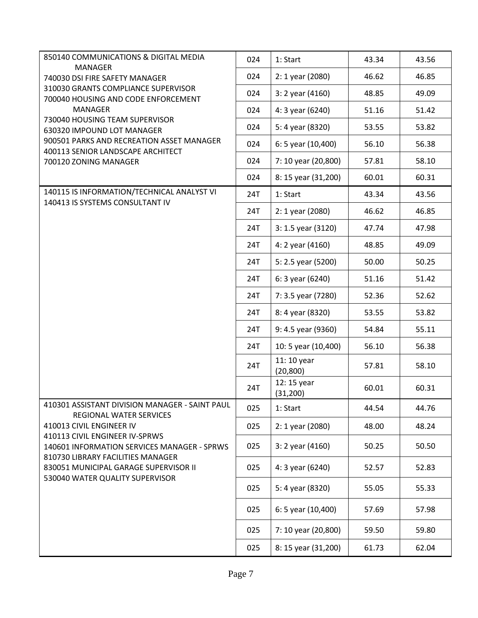| 850140 COMMUNICATIONS & DIGITAL MEDIA                                            | 024 | 1: Start                 | 43.34 | 43.56 |
|----------------------------------------------------------------------------------|-----|--------------------------|-------|-------|
| <b>MANAGER</b>                                                                   |     |                          |       |       |
| 740030 DSI FIRE SAFETY MANAGER<br>310030 GRANTS COMPLIANCE SUPERVISOR            | 024 | 2: 1 year (2080)         | 46.62 | 46.85 |
| 700040 HOUSING AND CODE ENFORCEMENT                                              | 024 | 3: 2 year (4160)         | 48.85 | 49.09 |
| <b>MANAGER</b>                                                                   | 024 | 4: 3 year (6240)         | 51.16 | 51.42 |
| 730040 HOUSING TEAM SUPERVISOR<br>630320 IMPOUND LOT MANAGER                     | 024 | 5: 4 year (8320)         | 53.55 | 53.82 |
| 900501 PARKS AND RECREATION ASSET MANAGER                                        | 024 | 6: 5 year (10,400)       | 56.10 | 56.38 |
| 400113 SENIOR LANDSCAPE ARCHITECT<br>700120 ZONING MANAGER                       | 024 | 7: 10 year (20,800)      | 57.81 | 58.10 |
|                                                                                  | 024 | 8: 15 year (31,200)      | 60.01 | 60.31 |
| 140115 IS INFORMATION/TECHNICAL ANALYST VI                                       | 24T | 1: Start                 | 43.34 | 43.56 |
| 140413 IS SYSTEMS CONSULTANT IV                                                  | 24T | 2: 1 year (2080)         | 46.62 | 46.85 |
|                                                                                  | 24T | 3: 1.5 year (3120)       | 47.74 | 47.98 |
|                                                                                  | 24T | 4: 2 year (4160)         | 48.85 | 49.09 |
|                                                                                  | 24T | 5: 2.5 year (5200)       | 50.00 | 50.25 |
|                                                                                  | 24T | 6: 3 year (6240)         | 51.16 | 51.42 |
|                                                                                  | 24T | 7: 3.5 year (7280)       | 52.36 | 52.62 |
|                                                                                  | 24T | 8: 4 year (8320)         | 53.55 | 53.82 |
|                                                                                  | 24T | 9: 4.5 year (9360)       | 54.84 | 55.11 |
|                                                                                  | 24T | 10: 5 year (10,400)      | 56.10 | 56.38 |
|                                                                                  | 24T | 11: 10 year<br>(20, 800) | 57.81 | 58.10 |
|                                                                                  | 24T | 12: 15 year<br>(31, 200) | 60.01 | 60.31 |
| 410301 ASSISTANT DIVISION MANAGER - SAINT PAUL<br><b>REGIONAL WATER SERVICES</b> | 025 | 1: Start                 | 44.54 | 44.76 |
| 410013 CIVIL ENGINEER IV                                                         | 025 | 2: 1 year (2080)         | 48.00 | 48.24 |
| 410113 CIVIL ENGINEER IV-SPRWS<br>140601 INFORMATION SERVICES MANAGER - SPRWS    | 025 | 3: 2 year (4160)         | 50.25 | 50.50 |
| 810730 LIBRARY FACILITIES MANAGER<br>830051 MUNICIPAL GARAGE SUPERVISOR II       | 025 | 4: 3 year (6240)         | 52.57 | 52.83 |
| 530040 WATER QUALITY SUPERVISOR                                                  | 025 | 5: 4 year (8320)         | 55.05 | 55.33 |
|                                                                                  | 025 | 6: 5 year (10,400)       | 57.69 | 57.98 |
|                                                                                  | 025 | 7: 10 year (20,800)      | 59.50 | 59.80 |
|                                                                                  | 025 | 8: 15 year (31,200)      | 61.73 | 62.04 |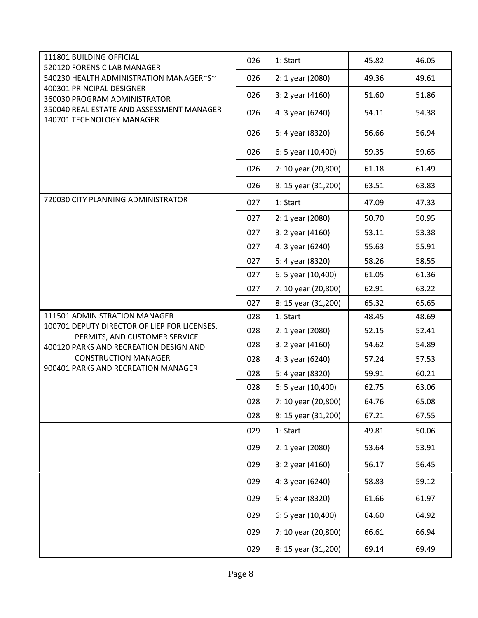| 111801 BUILDING OFFICIAL<br>520120 FORENSIC LAB MANAGER                 | 026 | 1: Start            | 45.82 | 46.05 |
|-------------------------------------------------------------------------|-----|---------------------|-------|-------|
| 540230 HEALTH ADMINISTRATION MANAGER~S~                                 | 026 | 2: 1 year (2080)    | 49.36 | 49.61 |
| 400301 PRINCIPAL DESIGNER<br>360030 PROGRAM ADMINISTRATOR               | 026 | 3: 2 year (4160)    | 51.60 | 51.86 |
| 350040 REAL ESTATE AND ASSESSMENT MANAGER<br>140701 TECHNOLOGY MANAGER  | 026 | 4: 3 year (6240)    | 54.11 | 54.38 |
|                                                                         | 026 | 5: 4 year (8320)    | 56.66 | 56.94 |
|                                                                         | 026 | 6: 5 year (10,400)  | 59.35 | 59.65 |
|                                                                         | 026 | 7: 10 year (20,800) | 61.18 | 61.49 |
|                                                                         | 026 | 8: 15 year (31,200) | 63.51 | 63.83 |
| 720030 CITY PLANNING ADMINISTRATOR                                      | 027 | 1: Start            | 47.09 | 47.33 |
|                                                                         | 027 | 2: 1 year (2080)    | 50.70 | 50.95 |
|                                                                         | 027 | 3: 2 year (4160)    | 53.11 | 53.38 |
|                                                                         | 027 | 4: 3 year (6240)    | 55.63 | 55.91 |
|                                                                         | 027 | 5: 4 year (8320)    | 58.26 | 58.55 |
|                                                                         | 027 | 6: 5 year (10,400)  | 61.05 | 61.36 |
|                                                                         | 027 | 7: 10 year (20,800) | 62.91 | 63.22 |
|                                                                         | 027 | 8: 15 year (31,200) | 65.32 | 65.65 |
| 111501 ADMINISTRATION MANAGER                                           | 028 | 1: Start            | 48.45 | 48.69 |
| 100701 DEPUTY DIRECTOR OF LIEP FOR LICENSES,                            | 028 | 2: 1 year (2080)    | 52.15 | 52.41 |
| PERMITS, AND CUSTOMER SERVICE<br>400120 PARKS AND RECREATION DESIGN AND | 028 | $3:2$ year (4160)   | 54.62 | 54.89 |
| <b>CONSTRUCTION MANAGER</b>                                             | 028 | 4: 3 year (6240)    | 57.24 | 57.53 |
| 900401 PARKS AND RECREATION MANAGER                                     | 028 | 5: 4 year (8320)    | 59.91 | 60.21 |
|                                                                         | 028 | 6: 5 year (10,400)  | 62.75 | 63.06 |
|                                                                         | 028 | 7: 10 year (20,800) | 64.76 | 65.08 |
|                                                                         | 028 | 8: 15 year (31,200) | 67.21 | 67.55 |
|                                                                         | 029 | 1: Start            | 49.81 | 50.06 |
|                                                                         | 029 | 2: 1 year (2080)    | 53.64 | 53.91 |
|                                                                         | 029 | 3: 2 year (4160)    | 56.17 | 56.45 |
|                                                                         | 029 | 4: 3 year (6240)    | 58.83 | 59.12 |
|                                                                         | 029 | 5: 4 year (8320)    | 61.66 | 61.97 |
|                                                                         | 029 | 6: 5 year (10,400)  | 64.60 | 64.92 |
|                                                                         | 029 | 7: 10 year (20,800) | 66.61 | 66.94 |
|                                                                         | 029 | 8: 15 year (31,200) | 69.14 | 69.49 |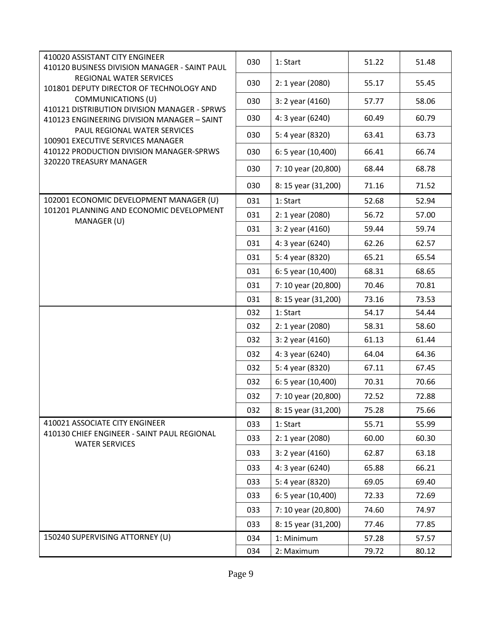| 410020 ASSISTANT CITY ENGINEER<br>410120 BUSINESS DIVISION MANAGER - SAINT PAUL             | 030 | 1: Start            | 51.22 | 51.48 |
|---------------------------------------------------------------------------------------------|-----|---------------------|-------|-------|
| REGIONAL WATER SERVICES<br>101801 DEPUTY DIRECTOR OF TECHNOLOGY AND                         | 030 | 2: 1 year (2080)    | 55.17 | 55.45 |
| COMMUNICATIONS (U)                                                                          | 030 | $3:2$ year (4160)   | 57.77 | 58.06 |
| 410121 DISTRIBUTION DIVISION MANAGER - SPRWS<br>410123 ENGINEERING DIVISION MANAGER - SAINT | 030 | 4: 3 year (6240)    | 60.49 | 60.79 |
| PAUL REGIONAL WATER SERVICES<br>100901 EXECUTIVE SERVICES MANAGER                           | 030 | 5: 4 year (8320)    | 63.41 | 63.73 |
| 410122 PRODUCTION DIVISION MANAGER-SPRWS                                                    | 030 | 6: 5 year (10,400)  | 66.41 | 66.74 |
| 320220 TREASURY MANAGER                                                                     | 030 | 7: 10 year (20,800) | 68.44 | 68.78 |
|                                                                                             | 030 | 8: 15 year (31,200) | 71.16 | 71.52 |
| 102001 ECONOMIC DEVELOPMENT MANAGER (U)                                                     | 031 | 1: Start            | 52.68 | 52.94 |
| 101201 PLANNING AND ECONOMIC DEVELOPMENT                                                    | 031 | 2: 1 year (2080)    | 56.72 | 57.00 |
| MANAGER (U)                                                                                 | 031 | 3: 2 year (4160)    | 59.44 | 59.74 |
|                                                                                             | 031 | 4: 3 year (6240)    | 62.26 | 62.57 |
|                                                                                             | 031 | 5: 4 year (8320)    | 65.21 | 65.54 |
|                                                                                             | 031 | 6: 5 year (10,400)  | 68.31 | 68.65 |
|                                                                                             | 031 | 7: 10 year (20,800) | 70.46 | 70.81 |
|                                                                                             | 031 | 8: 15 year (31,200) | 73.16 | 73.53 |
|                                                                                             | 032 | 1: Start            | 54.17 | 54.44 |
|                                                                                             | 032 | 2: 1 year (2080)    | 58.31 | 58.60 |
|                                                                                             | 032 | 3: 2 year (4160)    | 61.13 | 61.44 |
|                                                                                             | 032 | 4: 3 year (6240)    | 64.04 | 64.36 |
|                                                                                             | 032 | 5: 4 year (8320)    | 67.11 | 67.45 |
|                                                                                             | 032 | 6: 5 year (10,400)  | 70.31 | 70.66 |
|                                                                                             | 032 | 7: 10 year (20,800) | 72.52 | 72.88 |
|                                                                                             | 032 | 8: 15 year (31,200) | 75.28 | 75.66 |
| 410021 ASSOCIATE CITY ENGINEER                                                              | 033 | 1: Start            | 55.71 | 55.99 |
| 410130 CHIEF ENGINEER - SAINT PAUL REGIONAL<br><b>WATER SERVICES</b>                        | 033 | 2: 1 year (2080)    | 60.00 | 60.30 |
|                                                                                             | 033 | $3:2$ year (4160)   | 62.87 | 63.18 |
|                                                                                             | 033 | 4: 3 year (6240)    | 65.88 | 66.21 |
|                                                                                             | 033 | 5: 4 year (8320)    | 69.05 | 69.40 |
|                                                                                             | 033 | 6: 5 year (10,400)  | 72.33 | 72.69 |
|                                                                                             | 033 | 7: 10 year (20,800) | 74.60 | 74.97 |
|                                                                                             | 033 | 8: 15 year (31,200) | 77.46 | 77.85 |
| 150240 SUPERVISING ATTORNEY (U)                                                             | 034 | 1: Minimum          | 57.28 | 57.57 |
|                                                                                             | 034 | 2: Maximum          | 79.72 | 80.12 |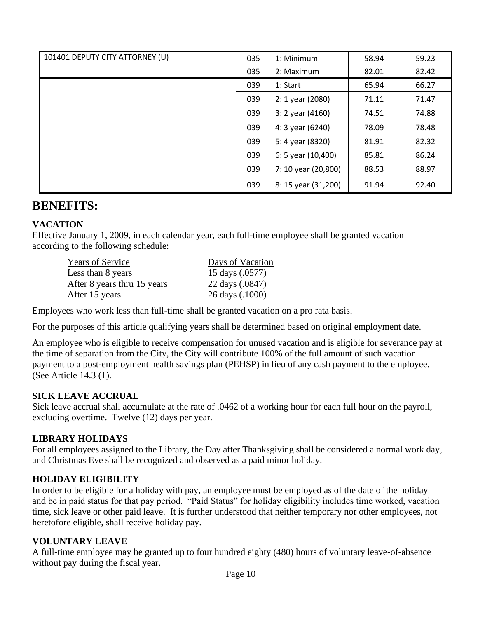| 101401 DEPUTY CITY ATTORNEY (U) | 035 | 1: Minimum          | 58.94 | 59.23 |
|---------------------------------|-----|---------------------|-------|-------|
|                                 | 035 | 2: Maximum          | 82.01 | 82.42 |
|                                 | 039 | 1: Start            | 65.94 | 66.27 |
|                                 | 039 | 2: 1 year (2080)    | 71.11 | 71.47 |
|                                 | 039 | $3:2$ year (4160)   | 74.51 | 74.88 |
|                                 | 039 | 4: 3 year (6240)    | 78.09 | 78.48 |
|                                 | 039 | 5: 4 year (8320)    | 81.91 | 82.32 |
|                                 | 039 | 6: 5 year (10,400)  | 85.81 | 86.24 |
|                                 | 039 | 7: 10 year (20,800) | 88.53 | 88.97 |
|                                 | 039 | 8: 15 year (31,200) | 91.94 | 92.40 |

# **BENEFITS:**

## **VACATION**

Effective January 1, 2009, in each calendar year, each full-time employee shall be granted vacation according to the following schedule:

Years of Service Days of Vacation Less than 8 years 15 days (.0577) After 8 years thru 15 years 22 days (.0847) After 15 years 26 days (.1000)

Employees who work less than full-time shall be granted vacation on a pro rata basis.

For the purposes of this article qualifying years shall be determined based on original employment date.

An employee who is eligible to receive compensation for unused vacation and is eligible for severance pay at the time of separation from the City, the City will contribute 100% of the full amount of such vacation payment to a post-employment health savings plan (PEHSP) in lieu of any cash payment to the employee. (See Article 14.3 (1).

## **SICK LEAVE ACCRUAL**

Sick leave accrual shall accumulate at the rate of .0462 of a working hour for each full hour on the payroll, excluding overtime. Twelve (12) days per year.

### **LIBRARY HOLIDAYS**

For all employees assigned to the Library, the Day after Thanksgiving shall be considered a normal work day, and Christmas Eve shall be recognized and observed as a paid minor holiday.

### **HOLIDAY ELIGIBILITY**

In order to be eligible for a holiday with pay, an employee must be employed as of the date of the holiday and be in paid status for that pay period. "Paid Status" for holiday eligibility includes time worked, vacation time, sick leave or other paid leave. It is further understood that neither temporary nor other employees, not heretofore eligible, shall receive holiday pay.

### **VOLUNTARY LEAVE**

A full-time employee may be granted up to four hundred eighty (480) hours of voluntary leave-of-absence without pay during the fiscal year.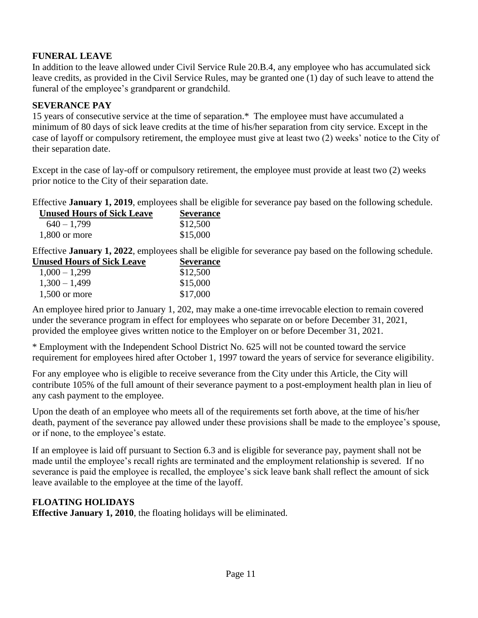## **FUNERAL LEAVE**

In addition to the leave allowed under Civil Service Rule 20.B.4, any employee who has accumulated sick leave credits, as provided in the Civil Service Rules, may be granted one (1) day of such leave to attend the funeral of the employee's grandparent or grandchild.

## **SEVERANCE PAY**

15 years of consecutive service at the time of separation.\* The employee must have accumulated a minimum of 80 days of sick leave credits at the time of his/her separation from city service. Except in the case of layoff or compulsory retirement, the employee must give at least two (2) weeks' notice to the City of their separation date.

Except in the case of lay-off or compulsory retirement, the employee must provide at least two (2) weeks prior notice to the City of their separation date.

Effective **January 1, 2019**, employees shall be eligible for severance pay based on the following schedule.

| <b>Unused Hours of Sick Leave</b> | <b>Severance</b> |
|-----------------------------------|------------------|
| $640 - 1,799$                     | \$12,500         |
| $1,800$ or more                   | \$15,000         |

Effective **January 1, 2022**, employees shall be eligible for severance pay based on the following schedule.

| <b>Unused Hours of Sick Leave</b> | <b>Severance</b> |
|-----------------------------------|------------------|
| $1,000 - 1,299$                   | \$12,500         |
| $1,300 - 1,499$                   | \$15,000         |
| $1,500$ or more                   | \$17,000         |

An employee hired prior to January 1, 202, may make a one-time irrevocable election to remain covered under the severance program in effect for employees who separate on or before December 31, 2021, provided the employee gives written notice to the Employer on or before December 31, 2021.

\* Employment with the Independent School District No. 625 will not be counted toward the service requirement for employees hired after October 1, 1997 toward the years of service for severance eligibility.

For any employee who is eligible to receive severance from the City under this Article, the City will contribute 105% of the full amount of their severance payment to a post-employment health plan in lieu of any cash payment to the employee.

Upon the death of an employee who meets all of the requirements set forth above, at the time of his/her death, payment of the severance pay allowed under these provisions shall be made to the employee's spouse, or if none, to the employee's estate.

If an employee is laid off pursuant to Section 6.3 and is eligible for severance pay, payment shall not be made until the employee's recall rights are terminated and the employment relationship is severed. If no severance is paid the employee is recalled, the employee's sick leave bank shall reflect the amount of sick leave available to the employee at the time of the layoff.

## **FLOATING HOLIDAYS**

**Effective January 1, 2010**, the floating holidays will be eliminated.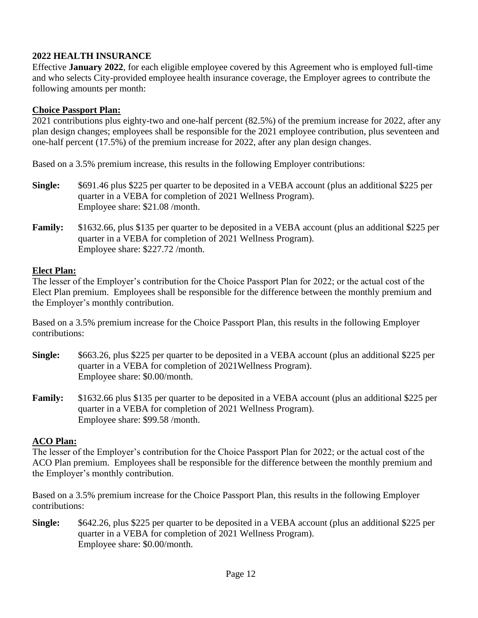## **2022 HEALTH INSURANCE**

Effective **January 2022**, for each eligible employee covered by this Agreement who is employed full-time and who selects City-provided employee health insurance coverage, the Employer agrees to contribute the following amounts per month:

## **Choice Passport Plan:**

2021 contributions plus eighty-two and one-half percent (82.5%) of the premium increase for 2022, after any plan design changes; employees shall be responsible for the 2021 employee contribution, plus seventeen and one-half percent (17.5%) of the premium increase for 2022, after any plan design changes.

Based on a 3.5% premium increase, this results in the following Employer contributions:

- **Single:** \$691.46 plus \$225 per quarter to be deposited in a VEBA account (plus an additional \$225 per quarter in a VEBA for completion of 2021 Wellness Program). Employee share: \$21.08 /month.
- **Family:** \$1632.66, plus \$135 per quarter to be deposited in a VEBA account (plus an additional \$225 per quarter in a VEBA for completion of 2021 Wellness Program). Employee share: \$227.72 /month.

## **Elect Plan:**

The lesser of the Employer's contribution for the Choice Passport Plan for 2022; or the actual cost of the Elect Plan premium. Employees shall be responsible for the difference between the monthly premium and the Employer's monthly contribution.

Based on a 3.5% premium increase for the Choice Passport Plan, this results in the following Employer contributions:

- **Single:** \$663.26, plus \$225 per quarter to be deposited in a VEBA account (plus an additional \$225 per quarter in a VEBA for completion of 2021Wellness Program). Employee share: \$0.00/month.
- **Family:** \$1632.66 plus \$135 per quarter to be deposited in a VEBA account (plus an additional \$225 per quarter in a VEBA for completion of 2021 Wellness Program). Employee share: \$99.58 /month.

## **ACO Plan:**

The lesser of the Employer's contribution for the Choice Passport Plan for 2022; or the actual cost of the ACO Plan premium. Employees shall be responsible for the difference between the monthly premium and the Employer's monthly contribution.

Based on a 3.5% premium increase for the Choice Passport Plan, this results in the following Employer contributions:

**Single:** \$642.26, plus \$225 per quarter to be deposited in a VEBA account (plus an additional \$225 per quarter in a VEBA for completion of 2021 Wellness Program). Employee share: \$0.00/month.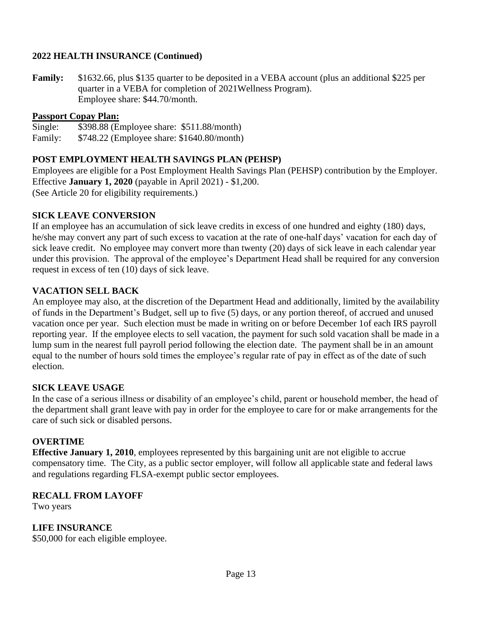## **2022 HEALTH INSURANCE (Continued)**

**Family:** \$1632.66, plus \$135 quarter to be deposited in a VEBA account (plus an additional \$225 per quarter in a VEBA for completion of 2021Wellness Program). Employee share: \$44.70/month.

### **Passport Copay Plan:**

Single: \$398.88 (Employee share: \$511.88/month)

Family: \$748.22 (Employee share: \$1640.80/month)

### **POST EMPLOYMENT HEALTH SAVINGS PLAN (PEHSP)**

Employees are eligible for a Post Employment Health Savings Plan (PEHSP) contribution by the Employer. Effective **January 1, 2020** (payable in April 2021) - \$1,200. (See Article 20 for eligibility requirements.)

### **SICK LEAVE CONVERSION**

If an employee has an accumulation of sick leave credits in excess of one hundred and eighty (180) days, he/she may convert any part of such excess to vacation at the rate of one-half days' vacation for each day of sick leave credit. No employee may convert more than twenty (20) days of sick leave in each calendar year under this provision. The approval of the employee's Department Head shall be required for any conversion request in excess of ten (10) days of sick leave.

### **VACATION SELL BACK**

An employee may also, at the discretion of the Department Head and additionally, limited by the availability of funds in the Department's Budget, sell up to five (5) days, or any portion thereof, of accrued and unused vacation once per year. Such election must be made in writing on or before December 1of each IRS payroll reporting year. If the employee elects to sell vacation, the payment for such sold vacation shall be made in a lump sum in the nearest full payroll period following the election date. The payment shall be in an amount equal to the number of hours sold times the employee's regular rate of pay in effect as of the date of such election.

### **SICK LEAVE USAGE**

In the case of a serious illness or disability of an employee's child, parent or household member, the head of the department shall grant leave with pay in order for the employee to care for or make arrangements for the care of such sick or disabled persons.

### **OVERTIME**

**Effective January 1, 2010**, employees represented by this bargaining unit are not eligible to accrue compensatory time. The City, as a public sector employer, will follow all applicable state and federal laws and regulations regarding FLSA-exempt public sector employees.

### **RECALL FROM LAYOFF**

Two years

## **LIFE INSURANCE**

\$50,000 for each eligible employee.